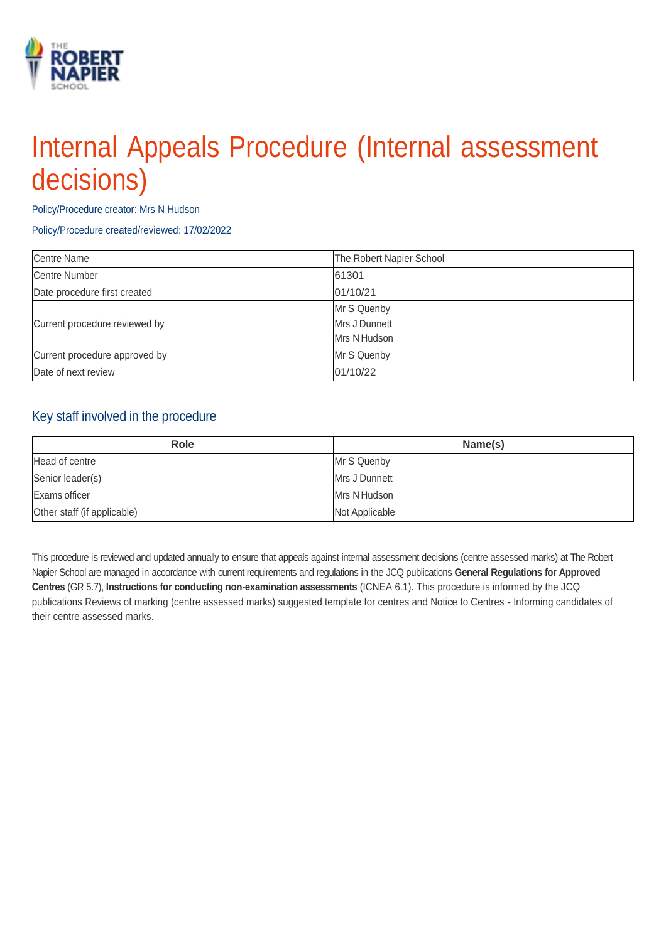# Internal Appeals Procedure (Internal assessment decisions)

Policy/Procedure creator: Mrs N Hudson

Policy/Procedure created/reviewed: 17/02/2022

| Centre Name                   | The Robert Napier School |
|-------------------------------|--------------------------|
| <b>Centre Number</b>          | 61301                    |
| Date procedure first created  | 01/10/21                 |
| Current procedure reviewed by | Mr S Quenby              |
|                               | Mrs J Dunnett            |
|                               | Mrs N Hudson             |
| Current procedure approved by | Mr S Quenby              |
| Date of next review           | 01/10/22                 |

#### Key staff involved in the procedure

| <b>Role</b>                 | Name(s)        |
|-----------------------------|----------------|
| Head of centre              | Mr S Quenby    |
| Senior leader(s)            | Mrs J Dunnett  |
| Exams officer               | Mrs N Hudson   |
| Other staff (if applicable) | Not Applicable |

This procedure is reviewed and updated annually to ensure that appeals against internal assessment decisions (centre assessed marks) at The Robert Napier School are managed in accordance with current requirements and regulations in the JCQ publications **General Regulations for Approved Centres** (GR 5.7), **Instructions for conducting non-examination assessments** (ICNEA 6.1). This procedure is informed by the JCQ publications Reviews of marking (centre assessed marks) suggested template for centres and Notice to Centres - Informing candidates of their centre assessed marks.

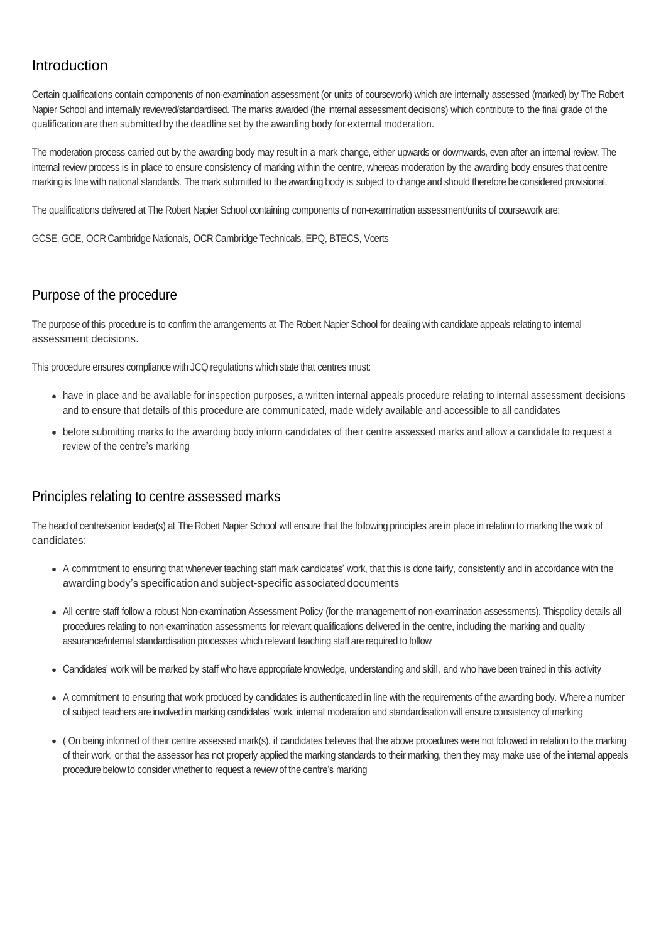# Introduction

Certain qualifications contain components of non-examination assessment (or units of coursework) which are internally assessed (marked) by The Robert Napier School and internally reviewed/standardised. The marks awarded (the internal assessment decisions) which contribute to the final grade of the qualification are then submitted by the deadline set by the awarding body for external moderation.

The moderation process carried out by the awarding body may result in a mark change, either upwards or downwards, even after an internal review. The internal review process is in place to ensure consistency of marking within the centre, whereas moderation by the awarding body ensures that centre marking is line with national standards. The mark submitted to the awarding body is subject to change and should therefore be considered provisional.

The qualifications delivered at The Robert Napier School containing components of non-examination assessment/units of coursework are:

GCSE, GCE, OCR Cambridge Nationals, OCR Cambridge Technicals, EPQ, BTECS, Vcerts

# Purpose of the procedure

The purpose of this procedure is to confirm the arrangements at The Robert Napier School for dealing with candidate appeals relating to internal assessment decisions.

This procedure ensures compliance with JCQ regulations which state that centres must:

- have in place and be available for inspection purposes, a written internal appeals procedure relating to internal assessment decisions and to ensure that details of this procedure are communicated, made widely available and accessible to all candidates
- before submitting marks to the awarding body inform candidates of their centre assessed marks and allow a candidate to request a review of the centre's marking

## Principles relating to centre assessed marks

The head of centre/senior leader(s) at The Robert Napier School will ensure that the following principles are in place in relation to marking the work of candidates:

- A commitment to ensuring that whenever teaching staff mark candidates' work, that this is done fairly, consistently and in accordance with the awarding body's specification and subject-specific associated documents
- All centre staff follow a robust Non-examination Assessment Policy (for the management of non-examination assessments). Thispolicy details all procedures relating to non-examination assessments for relevant qualifications delivered in the centre, including the marking and quality assurance/internal standardisation processes which relevant teaching staff are required to follow
- Candidates' work will be marked by staff who have appropriate knowledge, understanding and skill, and who have been trained in this activity
- A commitment to ensuring that work produced by candidates is authenticated in line with the requirements of the awarding body. Where a number of subject teachers are involved in marking candidates' work, internal moderation and standardisation will ensure consistency of marking
- ( On being informed of their centre assessed mark(s), if candidates believes that the above procedures were not followed in relation to the marking of their work, or that the assessor has not properly applied the marking standards to their marking, then they may make use of the internal appeals procedure belowto consider whether to request a reviewof the centre's marking